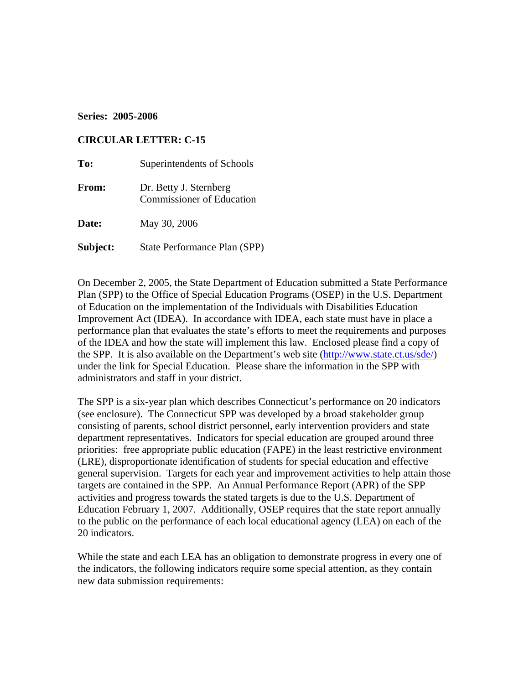## **Series: 2005-2006**

### **CIRCULAR LETTER: C-15**

| To:          | Superintendents of Schools                                 |
|--------------|------------------------------------------------------------|
| <b>From:</b> | Dr. Betty J. Sternberg<br><b>Commissioner of Education</b> |
| Date:        | May 30, 2006                                               |
| Subject:     | State Performance Plan (SPP)                               |

On December 2, 2005, the State Department of Education submitted a State Performance Plan (SPP) to the Office of Special Education Programs (OSEP) in the U.S. Department of Education on the implementation of the Individuals with Disabilities Education Improvement Act (IDEA). In accordance with IDEA, each state must have in place a performance plan that evaluates the state's efforts to meet the requirements and purposes of the IDEA and how the state will implement this law. Enclosed please find a copy of the SPP. It is also available on the Department's web site [\(http://www.state.ct.us/sde/\)](http://www.state.ct.us/sde/) under the link for Special Education. Please share the information in the SPP with administrators and staff in your district.

The SPP is a six-year plan which describes Connecticut's performance on 20 indicators (see enclosure). The Connecticut SPP was developed by a broad stakeholder group consisting of parents, school district personnel, early intervention providers and state department representatives. Indicators for special education are grouped around three priorities: free appropriate public education (FAPE) in the least restrictive environment (LRE), disproportionate identification of students for special education and effective general supervision. Targets for each year and improvement activities to help attain those targets are contained in the SPP. An Annual Performance Report (APR) of the SPP activities and progress towards the stated targets is due to the U.S. Department of Education February 1, 2007. Additionally, OSEP requires that the state report annually to the public on the performance of each local educational agency (LEA) on each of the 20 indicators.

While the state and each LEA has an obligation to demonstrate progress in every one of the indicators, the following indicators require some special attention, as they contain new data submission requirements: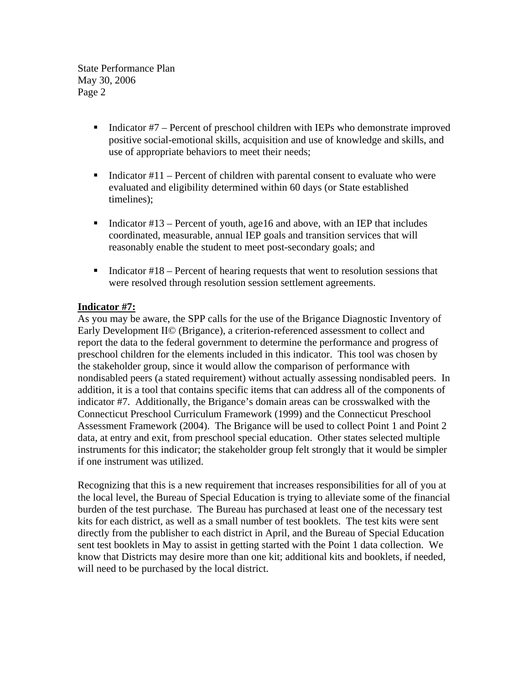State Performance Plan May 30, 2006 Page 2

- Indicator  $#7$  Percent of preschool children with IEPs who demonstrate improved positive social-emotional skills, acquisition and use of knowledge and skills, and use of appropriate behaviors to meet their needs;
- Indicator  $#11$  Percent of children with parental consent to evaluate who were evaluated and eligibility determined within 60 days (or State established timelines);
- Indicator  $#13$  Percent of youth, age16 and above, with an IEP that includes coordinated, measurable, annual IEP goals and transition services that will reasonably enable the student to meet post-secondary goals; and
- Indicator  $#18$  Percent of hearing requests that went to resolution sessions that were resolved through resolution session settlement agreements.

# **Indicator #7:**

As you may be aware, the SPP calls for the use of the Brigance Diagnostic Inventory of Early Development II© (Brigance), a criterion-referenced assessment to collect and report the data to the federal government to determine the performance and progress of preschool children for the elements included in this indicator. This tool was chosen by the stakeholder group, since it would allow the comparison of performance with nondisabled peers (a stated requirement) without actually assessing nondisabled peers. In addition, it is a tool that contains specific items that can address all of the components of indicator #7. Additionally, the Brigance's domain areas can be crosswalked with the Connecticut Preschool Curriculum Framework (1999) and the Connecticut Preschool Assessment Framework (2004). The Brigance will be used to collect Point 1 and Point 2 data, at entry and exit, from preschool special education. Other states selected multiple instruments for this indicator; the stakeholder group felt strongly that it would be simpler if one instrument was utilized.

Recognizing that this is a new requirement that increases responsibilities for all of you at the local level, the Bureau of Special Education is trying to alleviate some of the financial burden of the test purchase. The Bureau has purchased at least one of the necessary test kits for each district, as well as a small number of test booklets. The test kits were sent directly from the publisher to each district in April, and the Bureau of Special Education sent test booklets in May to assist in getting started with the Point 1 data collection. We know that Districts may desire more than one kit; additional kits and booklets, if needed, will need to be purchased by the local district.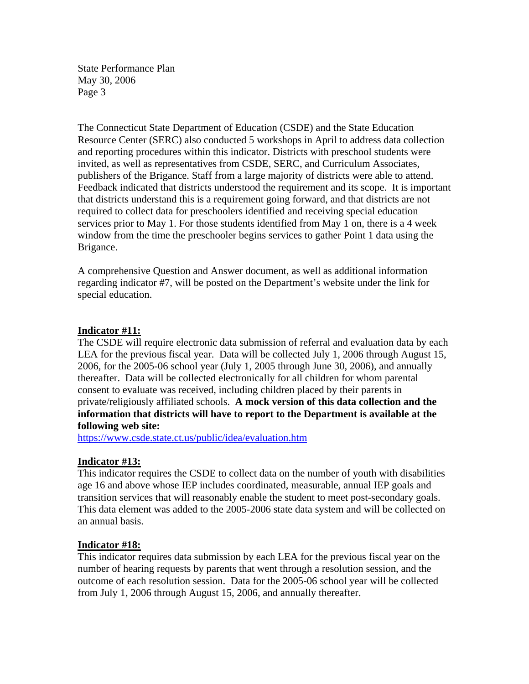State Performance Plan May 30, 2006 Page 3

The Connecticut State Department of Education (CSDE) and the State Education Resource Center (SERC) also conducted 5 workshops in April to address data collection and reporting procedures within this indicator. Districts with preschool students were invited, as well as representatives from CSDE, SERC, and Curriculum Associates, publishers of the Brigance. Staff from a large majority of districts were able to attend. Feedback indicated that districts understood the requirement and its scope. It is important that districts understand this is a requirement going forward, and that districts are not required to collect data for preschoolers identified and receiving special education services prior to May 1. For those students identified from May 1 on, there is a 4 week window from the time the preschooler begins services to gather Point 1 data using the Brigance.

A comprehensive Question and Answer document, as well as additional information regarding indicator #7, will be posted on the Department's website under the link for special education.

#### **Indicator #11:**

The CSDE will require electronic data submission of referral and evaluation data by each LEA for the previous fiscal year. Data will be collected July 1, 2006 through August 15, 2006, for the 2005-06 school year (July 1, 2005 through June 30, 2006), and annually thereafter. Data will be collected electronically for all children for whom parental consent to evaluate was received, including children placed by their parents in private/religiously affiliated schools. **A mock version of this data collection and the information that districts will have to report to the Department is available at the following web site:** 

<https://www.csde.state.ct.us/public/idea/evaluation.htm>

## **Indicator #13:**

This indicator requires the CSDE to collect data on the number of youth with disabilities age 16 and above whose IEP includes coordinated, measurable, annual IEP goals and transition services that will reasonably enable the student to meet post-secondary goals. This data element was added to the 2005-2006 state data system and will be collected on an annual basis.

## **Indicator #18:**

This indicator requires data submission by each LEA for the previous fiscal year on the number of hearing requests by parents that went through a resolution session, and the outcome of each resolution session. Data for the 2005-06 school year will be collected from July 1, 2006 through August 15, 2006, and annually thereafter.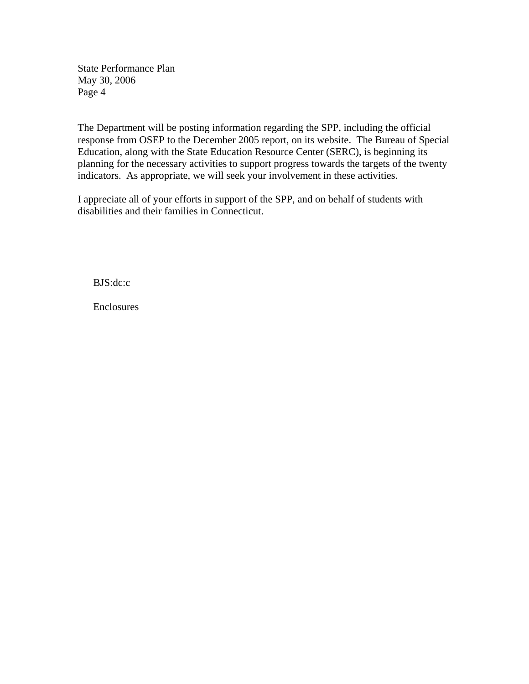State Performance Plan May 30, 2006 Page 4

The Department will be posting information regarding the SPP, including the official response from OSEP to the December 2005 report, on its website. The Bureau of Special Education, along with the State Education Resource Center (SERC), is beginning its planning for the necessary activities to support progress towards the targets of the twenty indicators. As appropriate, we will seek your involvement in these activities.

I appreciate all of your efforts in support of the SPP, and on behalf of students with disabilities and their families in Connecticut.

BJS:dc:c

Enclosures